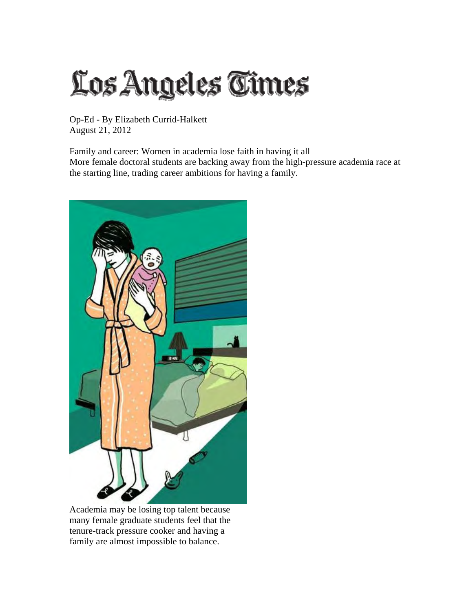## Los Angeles Times

Op-Ed - By Elizabeth Currid-Halkett August 21, 2012

Family and career: Women in academia lose faith in having it all More female doctoral students are backing away from the high-pressure academia race at the starting line, trading career ambitions for having a family.



Academia may be losing top talent because many female graduate students feel that the tenure-track pressure cooker and having a family are almost impossible to balance.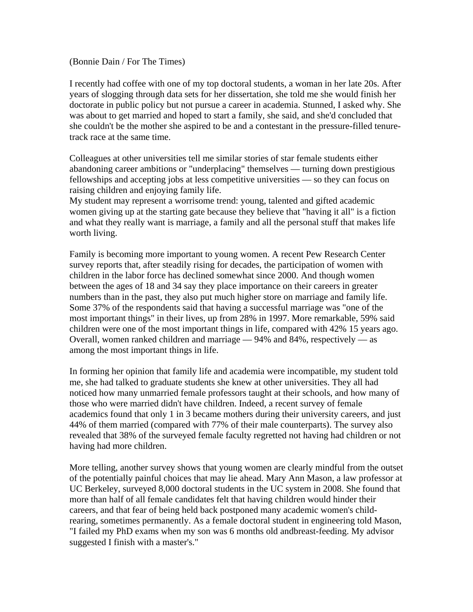(Bonnie Dain / For The Times)

I recently had coffee with one of my top doctoral students, a woman in her late 20s. After years of slogging through data sets for her dissertation, she told me she would finish her doctorate in public policy but not pursue a career in academia. Stunned, I asked why. She was about to get married and hoped to start a family, she said, and she'd concluded that she couldn't be the mother she aspired to be and a contestant in the pressure-filled tenuretrack race at the same time.

Colleagues at other universities tell me similar stories of star female students either abandoning career ambitions or "underplacing" themselves — turning down prestigious fellowships and accepting jobs at less competitive universities — so they can focus on raising children and enjoying family life.

My student may represent a worrisome trend: young, talented and gifted academic women giving up at the starting gate because they believe that "having it all" is a fiction and what they really want is marriage, a family and all the personal stuff that makes life worth living.

Family is becoming more important to young women. A recent Pew Research Center survey reports that, after steadily rising for decades, the participation of women with children in the labor force has declined somewhat since 2000. And though women between the ages of 18 and 34 say they place importance on their careers in greater numbers than in the past, they also put much higher store on marriage and family life. Some 37% of the respondents said that having a successful marriage was "one of the most important things" in their lives, up from 28% in 1997. More remarkable, 59% said children were one of the most important things in life, compared with 42% 15 years ago. Overall, women ranked children and marriage  $-94\%$  and 84%, respectively  $-$  as among the most important things in life.

In forming her opinion that family life and academia were incompatible, my student told me, she had talked to graduate students she knew at other universities. They all had noticed how many unmarried female professors taught at their schools, and how many of those who were married didn't have children. Indeed, a recent survey of female academics found that only 1 in 3 became mothers during their university careers, and just 44% of them married (compared with 77% of their male counterparts). The survey also revealed that 38% of the surveyed female faculty regretted not having had children or not having had more children.

More telling, another survey shows that young women are clearly mindful from the outset of the potentially painful choices that may lie ahead. Mary Ann Mason, a law professor at UC Berkeley, surveyed 8,000 doctoral students in the UC system in 2008. She found that more than half of all female candidates felt that having children would hinder their careers, and that fear of being held back postponed many academic women's childrearing, sometimes permanently. As a female doctoral student in engineering told Mason, "I failed my PhD exams when my son was 6 months old andbreast-feeding. My advisor suggested I finish with a master's."